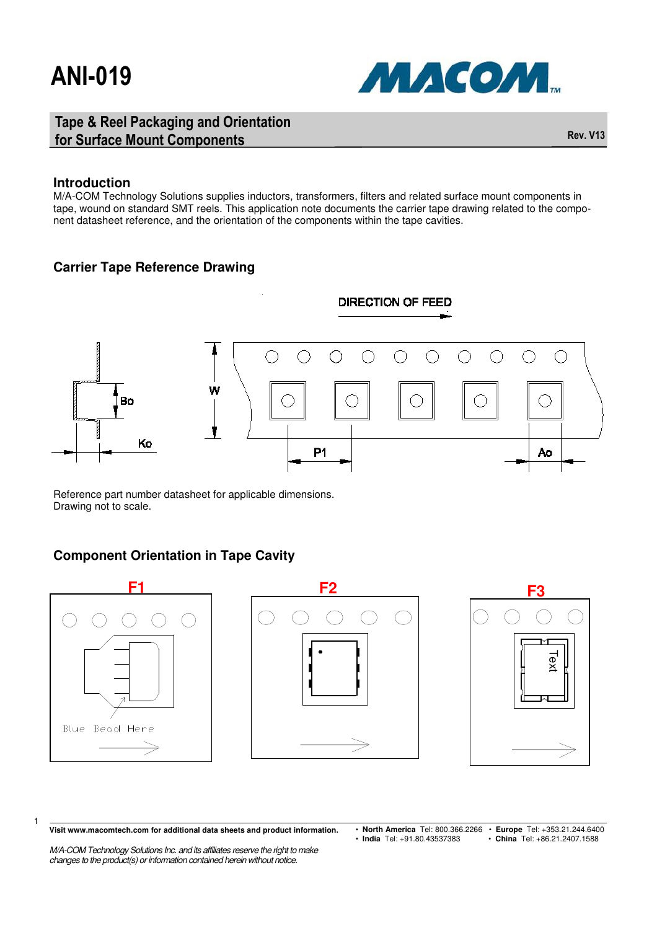

#### Tape & Reel Packaging and Orientation for Surface Mount Components **Rev. V13** and Components **Rev. V13**

#### **Introduction**

M/A-COM Technology Solutions supplies inductors, transformers, filters and related surface mount components in tape, wound on standard SMT reels. This application note documents the carrier tape drawing related to the component datasheet reference, and the orientation of the components within the tape cavities.

#### **Carrier Tape Reference Drawing**



Reference part number datasheet for applicable dimensions. Drawing not to scale.

#### **Component Orientation in Tape Cavity**



**Visit www.macomtech.com for additional data sheets and product information.**

1

- M/A-COM Technology Solutions Inc. and its affiliates reserve the right to make changes to the product(s) or information contained herein without notice.
- **North America** Tel: 800.366.2266 **Europe** Tel: +353.21.244.6400 • China Tel: +86.21.2407.1588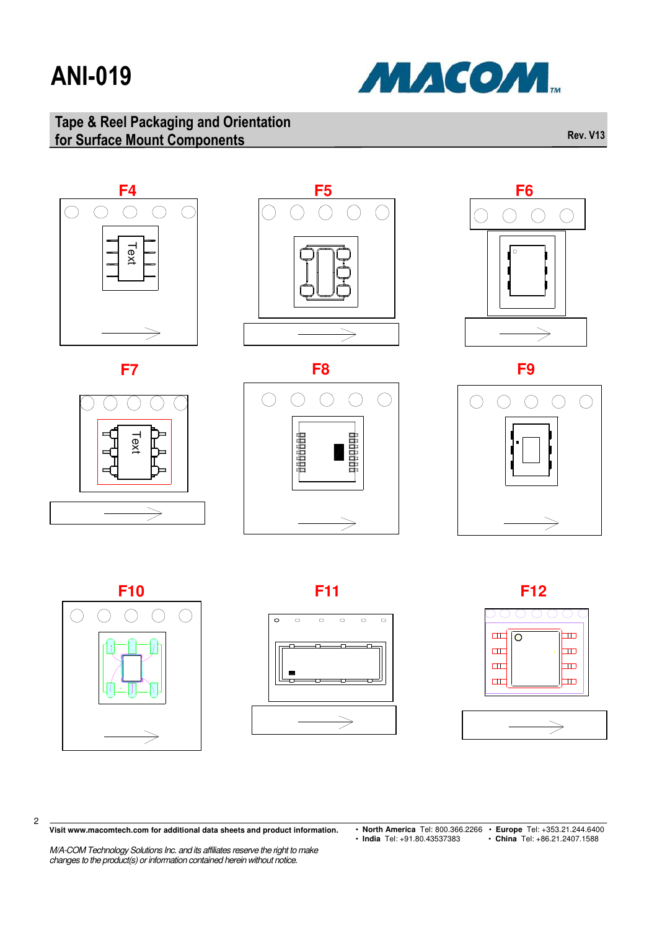

### Tape & Reel Packaging and Orientation for Surface Mount Components **Rev. V13** and Components **Rev. V13**





2

#### $\ddot{\circ}$  $\circ$  $\circ$  $\circ$  $\circ$  $\circ$ ∩⊦

 $\Rightarrow$ 





**Visit www.macomtech.com for additional data sheets and product information.**

• **North America** Tel: 800.366.2266 • **Europe** Tel: +353.21.244.6400 • **India** Tel: +91.80.43537383 • **China** Tel: +86.21.2407.1588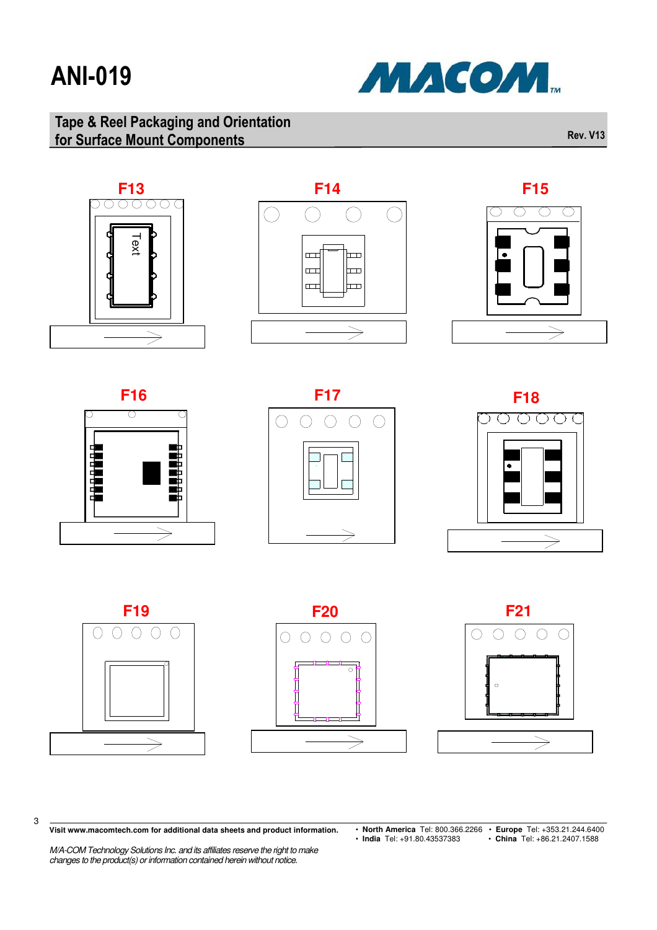

### Tape & Reel Packaging and Orientation for Surface Mount Components **Rev. V13** and Components **Rev. V13**





**F15**   $\bigcirc$  $\bigcirc$ ◯  $\Rightarrow$ 









3





**Visit www.macomtech.com for additional data sheets and product information.**

- **North America** Tel: 800.366.2266 **Europe** Tel: +353.21.244.6400 • **India** Tel: +91.80.43537383 • **China** Tel: +86.21.2407.1588
-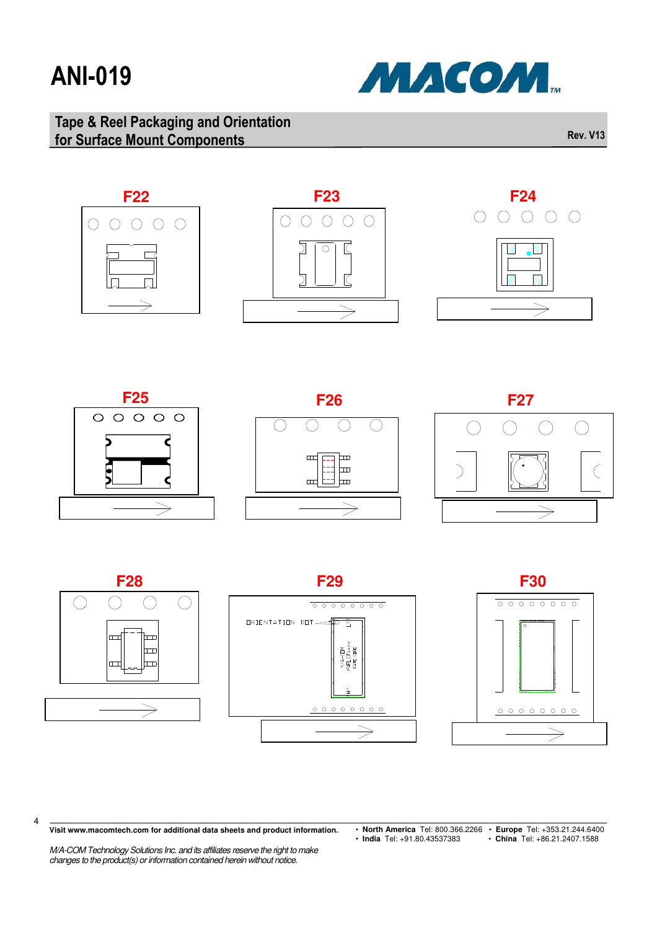

### Tape & Reel Packaging and Orientation for Surface Mount Components **Rev. V13** and Components **Rev. V13**















4





**Visit www.macomtech.com for additional data sheets and product information.**

• **North America** Tel: 800.366.2266 • **Europe** Tel: +353.21.244.6400 • **India** Tel: +91.80.43537383 • **China** Tel: +86.21.2407.1588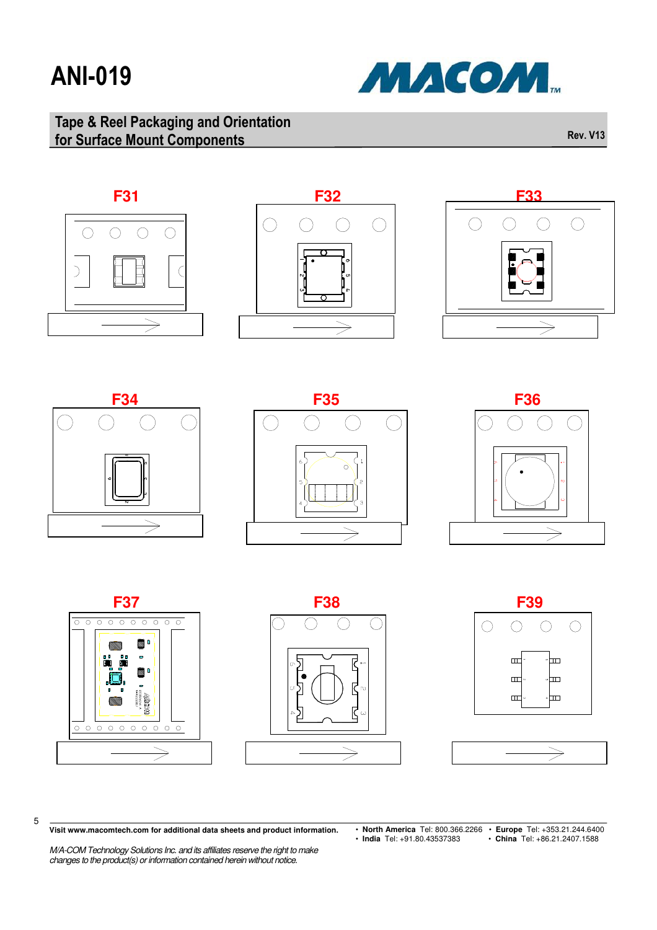

### Tape & Reel Packaging and Orientation for Surface Mount Components **Rev. V13** and Components **Rev. V13**















5







**Visit www.macomtech.com for additional data sheets and product information.**

M/A-COM Technology Solutions Inc. and its affiliates reserve the right to make changes to the product(s) or information contained herein without notice.

• **North America** Tel: 800.366.2266 • **Europe** Tel: +353.21.244.6400 • **India** Tel: +91.80.43537383 • **China** Tel: +86.21.2407.1588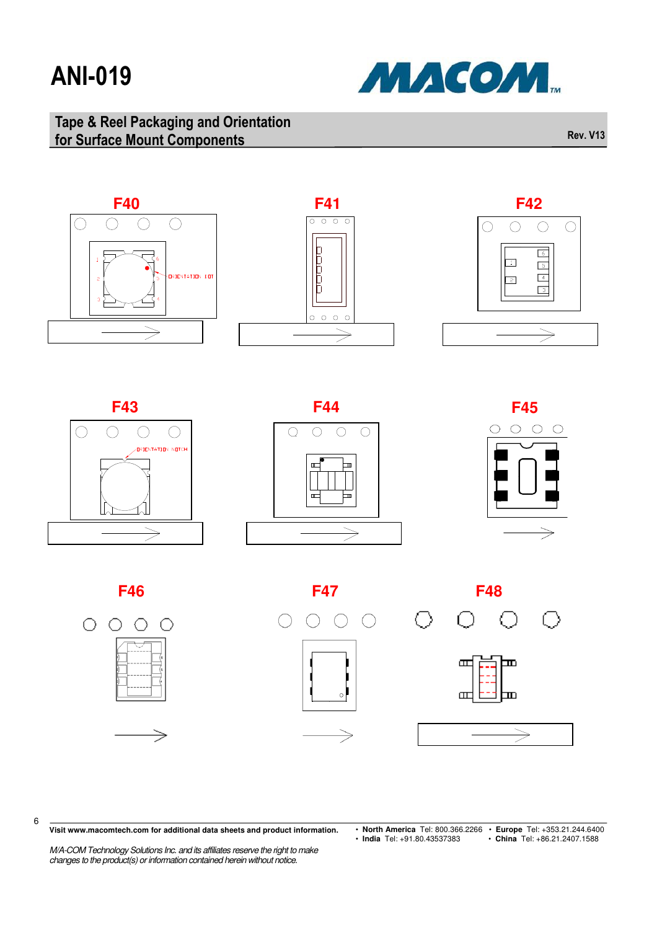

### Tape & Reel Packaging and Orientation for Surface Mount Components **Rev. V13** and Components **Rev. V13**



















6



**Visit www.macomtech.com for additional data sheets and product information.**

• **North America** Tel: 800.366.2266 • **Europe** Tel: +353.21.244.6400 • **India** Tel: +91.80.43537383 • **China** Tel: +86.21.2407.1588